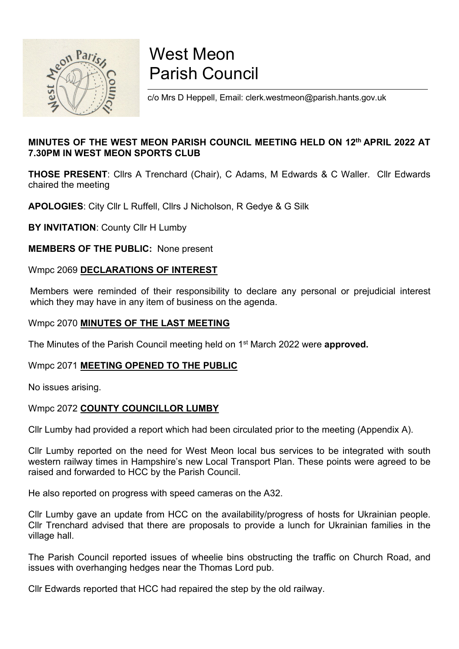

## West Meon<br>Parish Council<br><sub>c/o Mrs D Heppell, Email: clerk.westmeon@parish.hants.gov.uk</sub> West Meon<br>Parish Council<br><sub>C/o Mrs D Heppell, Email: clerk.westmeon@parish.hants.gov.uk</sub> West Meon<br>Parish Council<br>Co Mrs D Heppell, Email: clerk.westmeon@parish.hants.gov.uk<br>EON PARISH COUNCIL MEETING HELD ON 12<sup>th</sup> APRIL 2022 AT

### West Meon<br>
Parish Council<br>
Co Mrs D Heppell, Email: clerk.westmeon@parish.hants.gov.uk<br>
MINUTES OF THE WEST MEON PARISH COUNCIL MEETING HELD ON 12<sup>th</sup> APRIL 2022 AT<br>
THOSE PRESENT: Clirs A Trenchard (Chair), C Adams, M Edw **PATISH COUNCIL**<br>
COMES DEPPENDENT EMITTED ON 12<sup>th</sup> APRIL 2022 A<br>
MINUTES OF THE WEST MEON PARISH COUNCIL MEETING HELD ON 12<sup>th</sup> APRIL 2022 A<br>
THOSE PRESENT: Clirs A Trenchard (Chair), C Adams, M Edwards & C Waller. Clir COMES DE HE MONTERE COUNCIL MEETING<br>
MINUTES OF THE WEST MEON PARISH COUNCIL MEETING HELD ON 12<sup>th</sup> APRIL 2022 AT<br>
THOSE PRESENT: Clirs A Trenchard (Chair), C Adams, M Edwards & C Waller. Clir Edwards<br>
APOLOGIES: City Clir **EXAMINUTES OF THE WEST MEON PARISH COUNCIL MEETING HELD ON 12<sup>th</sup> APRIL 2022 AT<br>THOSE PRESENT: Clirs A Trenchard (Chair), C Adams, M Edwards & C Waller. Clir Edwards<br>TheosE PRESENT: Clirs A Trenchard (Chair), C Adams, M E** MINUTES OF THE WEST MEON PARISH COUNCIL MEETING HELD ON 12<sup>th</sup> APRIL 2022 AT<br>7.30PM IN WEST MEON SPORTS CLUB<br>THOSE PRESENT: Clirs A Trenchard (Chair), C Adams, M Edwards & C Waller. Clir Edwards<br>chaired the meeting<br>APOLOGI

minutions of The Minutes of the Parish Council meeting held on 1st Archit 2022 AT<br>THOSE PRESENT: Clirs A Trenchard (Chair), C Adams, M Edwards & C Waller. Clir Edwards<br>chaired the meeting<br>APOLOGIES: City Clir L Ruffell, Cl THOSE PRESENT: Clirs A Trenchard (Chair), C Adams, M Edwards & C Waller. Clir Edwards<br>chaired the meeting<br>APOLOGIES: City Clir L Ruffell, Clirs J Nicholson, R Gedye & G Silk<br>BY INVITATION: County Clir H Lumby<br>MEMBERS OF TH

Consideration in County Clinia Clinia Clinia Clinia Clinia Clinia Clinia Clinia<br>
No INVITATION: County Clinia Lumby<br>
NEMBERS OF THE PUBLIC: None present<br>
Wimpc 2069 DECLARATIONS OF INTEREST<br>
Members were reminded of their **EVIDENCIAL COUNTY COUNCILLOR LUMBY**<br>
WEMBERS OF THE PUBLIC: None present<br>
Wmpc 2069 <u>DECLARATIONS OF INTEREST</u><br>
Members were reminded of their responsibility to declare any personal or prejudicial interest<br>
which they may

**Dr. INVERTIGHT COMPT COMPTERT**<br>
Winder 2069 DECLARATIONS OF INTEREST<br>
Members were reminded of their responsibility to declare any personal or prejudicial interest<br>
which they may have in any item of business on the agend MEMBENG OF THE PODENC. Note present<br>
Members were reminded of their responsibility to declare any personal or prejudicial interest<br>
which they may have in any item of business on the agenda.<br>
Wmpc 2070 **MINUTES OF THE LAST** Wmpc 2069 <u>DECLARATIONS OF INTEREST</u><br>
Members were reminded of their responsibility to declare any personal or prejudicial interest<br>
which they may have in any item of business on the agenda.<br>
Wmpc 2070 **MINUTES OF THE LAS** Willipt 2009 **DEVERTANTIONS OF INTERTS.**<br>
Members were reminded of their responsibility to declare any personal or prejudicial interest<br>
Which they may have in any litem of business on the agenda.<br>
Which CON **MINUTES OF TH** The Minutes of the Parish Council meeting held on 1<sup>st</sup> March 2022 w<br>
Wmpc 2071 **MEETING OPENED TO THE PUBLIC**<br>
No issues arising.<br>
Wmpc 2072 **COUNTY COUNCILLOR LUMBY**<br>
ClIr Lumby had provided a report which had been circu

Windit they may have in minder or when responsibility to decide any personal or prejudictar interest<br>
Winpc 2070 **MINUTES OF THE LAST MEETING**<br>
The Minutes of the Parish Council meeting held on 1<sup>st</sup> March 2022 were **appro** Wmpc 2070 **MINUTES OF THE LAST MEETING**<br>The Minutes of the Parish Council meeting held on 1<sup>st</sup> March 2022 were **approved.**<br>Wmpc 2071 **MEETING OPENED TO THE PUBLIC**<br>No issues arising.<br>Cllr Lumby had provided a report which The Minutes of the Parish Council meeting held on 1<sup>st</sup> March 2022 were approved.<br>
Wmpc 2071 <u>MEETING OPENED TO THE PUBLIC</u><br>
No issues arising.<br>
Cllr Lumby had provided a report which had been circulated prior to the meeti Wmpc 2071 **MEETING OPENED TO THE PUBLIC**<br>
No issues arising.<br>
Clir Lumby had provided a report which had been circulated prior to the meeting (Appendix A).<br>
Clir Lumby reported on the need for West Meon local bus services No issues arising.<br>
No issues arising.<br>
Wmpc 2072 COUNTY COUNCILLOR LUMBY<br>
ClIr Lumby had provided a report which had been circulated prior to the meeting (Appendix A).<br>
ClIr Lumby reported on the need for West Meon local No issues ansing.<br>
Clir Lumby had provided a report which had been circulated prior to the meeting (Appendix A).<br>
Clir Lumby reported on the need for West Meon local bus services to be integrated with south<br>
western railwa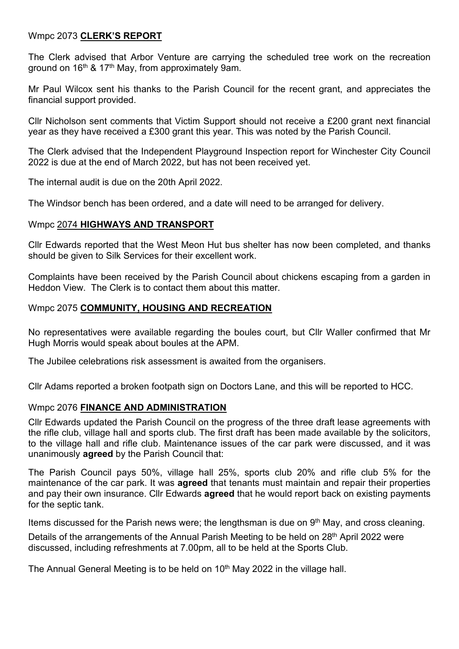Wmpc 2073 CLERK'S REPORT<br>The Clerk advised that Arbor Venture are carrying the scheduled tree work on t<br>ground on 16<sup>th</sup> & 17<sup>th</sup> May, from approximately 9am. Wmpc 2073 CLERK'S REPORT<br>The Clerk advised that Arbor Venture are carrying the scheduled tree work on the recreation<br>ground on 16<sup>th</sup> & 17<sup>th</sup> May, from approximately 9am.<br>financial support provided. Wmpc 2073 **CLERK'S REPORT**<br>The Clerk advised that Arbor Venture are carrying the scheduled tree work on the recreation<br>ground on 16<sup>th</sup> & 17<sup>th</sup> May, from approximately 9am.<br>Mr Paul Wilcox sent his thanks to the Parish Cou

Wmpc 2073 CLERK'S REPORT<br>The Clerk advised that Arbor Venture are carrying the scheduled tree work on the recreation<br>ground on 16<sup>th</sup> & 17<sup>th</sup> May, from approximately 9am.<br>Mr Paul Wilcox sent his thanks to the Parish Counc Wmpc 2073 **CLERK'S REPORT**<br>The Clerk advised that Arbor Venture are carrying the scheduled tree worlds<br>region on 16<sup>th</sup> & 17<sup>th</sup> May, from approximately 9am.<br>Mr Paul Wilcox sent his thanks to the Parish Council for the re Wmpc 2073 CLERK'S REPORT<br>The Clerk advised that Arbor Venture are carrying the scheduled tree work on the recreation<br>ground on 16<sup>th</sup> & 17<sup>th</sup> May, from approximately 9am.<br>Mr Paul Wilcox sent his thanks to the Parish Counc Wmpc 2073 **<u>CLERK'S REPORT</u>**<br>The Clerk advised that Arbor Venture are carrying the scheduled tree work on the recreation<br>ground on 16<sup>th</sup> & 17<sup>th</sup> May, from approximately 9am.<br>Mr Paul Wilcox sent his thanks to the Parish C Wmpc 2073 CLERK'S REPORT<br>The Clerk advised that Arbor Venture are carrying the scheduled tree work on the recreation<br>ground on 16<sup>th</sup> & 17<sup>th</sup> May, from approximately 9am.<br>Mr Paul Wilcox sent his thanks to the Parish Counc Wmpc 2073 CLERK'S REPORT<br>The Clerk advised that Arbor Venture are carrying the scheduled tree work on the recreation<br>ground on 16<sup>th</sup> & 17<sup>th</sup> May, from approximately 9am.<br>Mr Paul Wilcox sent his thanks to the Parish Counc Wmpc 2073 CLERK'S REPORT<br>The Clerk advised that Arbor Venture are carrying the scheduled tree work on the recreation<br>ground on 16<sup>m</sup> & 17<sup>m</sup> May, from approximately 9am.<br>Mr Paul Wilcox sent his thanks to the Parish Council Wmpc 2073 **CLERK'S REPORT**<br>The Clerk advised that Arbor Venture are carrying the scheduled tree work on the recreation<br>ground on 16<sup>th</sup> & 17<sup>th</sup> May, from approximately 9am.<br>Mr Paul Wilcox sent his thanks to the Parish Cou Wmpc 2073 **CLERK'S REPORT**<br>The Clerk advised that Arbor Venture are carrying the scheduled tree work on the recre<br>ground on 16<sup>th</sup> & 17<sup>th</sup> May, from approximately 9am.<br>Mr Paul Wilcox sent his thanks to the Parish Council The Clerk advised that Arbor Venture are carrying the scheduled tree work on the recreation<br>ground on 16<sup>th</sup> & 17<sup>th</sup> May, from approximately 9am.<br>Mr Paul Wilcox sent his thanks to the Parish Council for the recent grant, The Clerk advised that Arbor Venture are carrying the scheduled tree work on the recreation<br>Terourd on 16<sup>th</sup> & 17<sup>th</sup> May, from approximately 9am.<br>Mr Paul Wilcox sent his thanks to the Parish Council for the recent grant, Mr Paul Wilcox sent his thanks to the Parish Council for the recent grant, and appreciates the financial support provided.<br>Cllr Nicholson sent comments that Victim Support should not receive a £200 grant next financial yea Mr Paul Wilcox sent his thanks to the Parish Council for the recent grant, and appreciates the<br>financial support provided.<br>Cllr Nicholson sent comments that Victim Support should not receive a £200 grant next financial<br>gea Clir Nicholson sent comments that Victim Support should not receive a £200 grant next financial<br>year as they have received a £300 grant this year. This was noted by the Parish Council.<br>The Clerk advised that the Independen

year as they nave received a £.300 grant this year. This was hoted by the Parish Council.<br>The Clerk advised that the Independent Playground Inspection report for Winchester City Council<br>2022 is due at the end of March 2022 The Clerk advised that the Independent Playground Inspection report for Winchester City Council<br>2022 is due at the end of March 2022, but has not been received yet.<br>The internal audit is due on the 20th April 2022.<br>The Win

2022 is due at the end of March 2022, but has not been received yet.<br>The internal audit is due on the 20th April 2022.<br>The Windsor bench has been ordered, and a date will need to be arranged for delivery.<br>Wmpc <u>2074 **HIGHW</u>** The Windsor bench has been ordered, and a date will need to be arranged for delivery.<br>
Wimpc <u>2074 HIGHWAYS AND TRANSPORT</u><br>
CIIr Edwards reported that the West Meon Hut bus shelter has now been completed, and thanks<br>
shoul

The Finance of Microsofter and the West Menning of the completed, and<br>though the piven to Silk Services for their excellent work.<br>Complaints have been received by the Parish Council about chickens escaping from a ga<br>Heddon Wmpc <u>2074 HIGHWAYS AND TRANSPORT</u><br>Clir Edwards reported that the West Meon Hut bus sheller has now been completed, and thanks<br>should be given to Silk Services for their excellent work.<br>Heddon View. The Clerk is to contact Clir Edwards reported that the West Meon Hut bus shelter has now been completed, and thanks<br>should be given to Silk Services for their excellent work.<br>Complaints have been received by the Parish Council about chickens esca Clir Edwards reported that the West Meon Hut bus sheller has now been completed, and thanks<br>should be given to Silk Services for their excellent work.<br>Complaints have been received by the Parish Council about chickens esca should be given to Silk Services for their excellent work.<br>
Complaints have been received by the Parish Council about chickens escaping from a garden in<br>
Heddon View. The Clerk is to contact them about this matter.<br>
Wmpc 2 Wmpc 2075 **COMMUNITY, HOUSING AND RECREATION**<br>No representatives were available regarding the boules court, but Cllr W.<br>Hugh Morris would speak about boules at the APM.<br>The Jubilee celebrations risk assessment is awaited

Complaints have been received by the Parish Council about chickens escaping from a garden in<br>Heddon View. The Clerk is to contact them about this matter.<br>
Wimpc 2075 COMMUNITY, HOUSING AND RECREATION<br>
No representatives we Heddon View. The Clerk is to contact them about this matter.<br>
Wmpc 2075 COMMUNITY, HOUSING AND RECREATION<br>
No representatives were available regarding the boules court, but Cllr Waller confirmed that Mr<br>
Hugh Morris would Wmpc 2075 **COMMUNITY, HOUSING AND RECREATION**<br>No representatives were available regarding the boules court, but Cllr Waller confirmed that Mr<br>Hugh Morris would speak about boules at the APM.<br>The Jubilee celebrations risk a No representatives were available regarding the boules court, but Cllr Waller confirmed that Mr<br>Hugh Morris would speak about boules at the APM.<br>The Jubilee celebrations risk assessment is awaited from the organisers.<br>Cll Hugh Morris would speak about boules at the APM.<br>The Jubilee celebrations risk assessment is awaited from the organisers.<br>Cllr Adams reported a broken footpath sign on Doctors Lane, and this will be reported to HCC.<br>Wmpc 2 The Jubilee celebrations risk assessment is awaited from the organisers.<br>Cllr Adams reported a broken footpath sign on Doctors Lane, and this will be reported to HCC.<br>Cllr Edwards updated the Parish Courcil on the progres Cllr Adams reported a broken footpath sign on Doctors Lane, and this will be reported to HCC.<br>Wmpc 2076 **FINANCE AND ADMINISTRATION**<br>Cllr Edwards updated the Parish Council on the progress of the three draft lease agreemen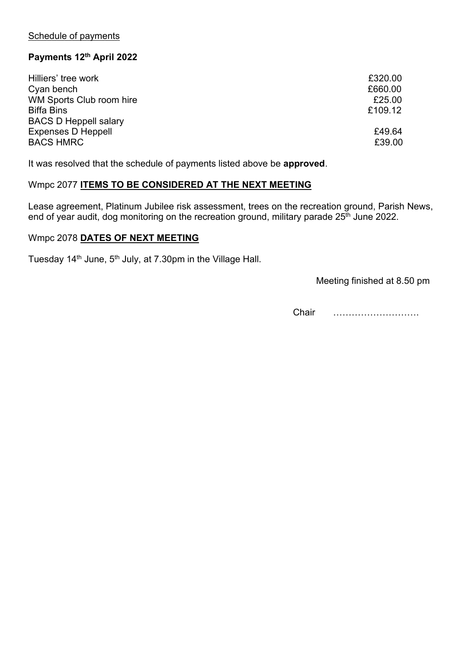| Schedule of payments<br>Payments 12th April 2022<br>Hilliers' tree work<br>£320.00                                                                                                                         |
|------------------------------------------------------------------------------------------------------------------------------------------------------------------------------------------------------------|
|                                                                                                                                                                                                            |
|                                                                                                                                                                                                            |
|                                                                                                                                                                                                            |
|                                                                                                                                                                                                            |
|                                                                                                                                                                                                            |
|                                                                                                                                                                                                            |
|                                                                                                                                                                                                            |
|                                                                                                                                                                                                            |
|                                                                                                                                                                                                            |
|                                                                                                                                                                                                            |
|                                                                                                                                                                                                            |
|                                                                                                                                                                                                            |
|                                                                                                                                                                                                            |
|                                                                                                                                                                                                            |
| Cyan bench<br>£660.00                                                                                                                                                                                      |
| WM Sports Club room hire<br>£25.00                                                                                                                                                                         |
| <b>Biffa Bins</b><br>£109.12                                                                                                                                                                               |
| <b>BACS D Heppell salary</b>                                                                                                                                                                               |
| £49.64<br><b>Expenses D Heppell</b>                                                                                                                                                                        |
| <b>BACS HMRC</b><br>£39.00                                                                                                                                                                                 |
| It was resolved that the schedule of payments listed above be approved.                                                                                                                                    |
| Wmpc 2077 ITEMS TO BE CONSIDERED AT THE NEXT MEETING                                                                                                                                                       |
| Lease agreement, Platinum Jubilee risk assessment, trees on the recreation ground, Parish News,<br>end of year audit, dog monitoring on the recreation ground, military parade 25 <sup>th</sup> June 2022. |
| Wmpc 2078 DATES OF NEXT MEETING                                                                                                                                                                            |
| Tuesday 14 <sup>th</sup> June, 5 <sup>th</sup> July, at 7.30pm in the Village Hall.                                                                                                                        |
| Meeting finished at 8.50 pm                                                                                                                                                                                |
| Chair                                                                                                                                                                                                      |
|                                                                                                                                                                                                            |
|                                                                                                                                                                                                            |
|                                                                                                                                                                                                            |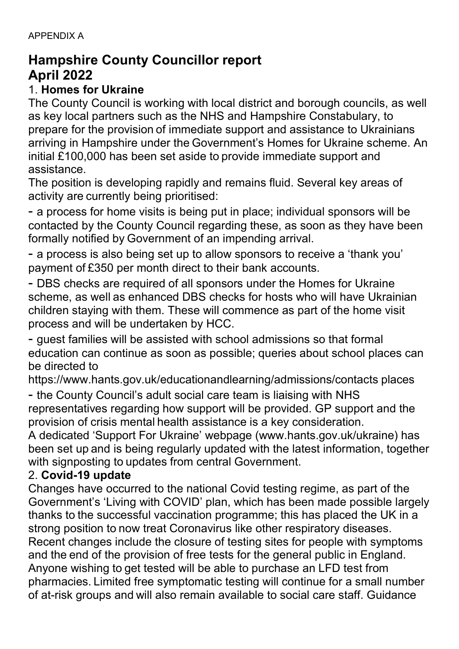# APPENDIX A<br>**Hampshire County Councillor report**<br>April 2022 APPENDIX A<br>**Hampshire County Councillor report<br>April 2022**<br>1. **Homes for Ukraine**<br>The County Council is working with local district and borough councils, as well

APPENDIX A<br> **Hampshire County Councillor report<br>
April 2022<br>
1. Homes for Ukraine<br>
The County Council is working with local district and bor<br>
as key local partners such as the NHS and Hampshire C** APPENDIX A<br>**Hampshire County Councillor report**<br>**April 2022**<br>1. **Homes for Ukraine**<br>The County Council is working with local district and borough co<br>as key local partners such as the NHS and Hampshire Constab<br>prepare for t APPENDIX A<br>**April 2022**<br>**April 2022**<br>1. **Homes for Ukraine**<br>The County Council is working with local district and borough councils, as well<br>as key local partners such as the NHS and Hampshire Constabulary, to<br>prepare for t APPENDIX A<br>**April 2022**<br>**April 2022**<br>1. **Homes for Ukraine**<br>The County Council is working with local district and borough councils, as well<br>as key local partners such as the NHS and Hampshire Constabulary, to<br>prepare for t APPENDIX A<br> **April 2022**<br> **April 2022**<br> **1. Homes for Ukraine**<br> **1. Homes for Ukraine**<br> **1. Homes for the provision of immediate support and assistance to Ukrainians<br>
arriving in Hampshire under the Government's Homes for** APPENDIX A<br>**April 2022**<br>**April 2022**<br>1. **Homes for Ukraine**<br>The County Council is working with local district and borough councils, as well<br>the Gounty Council is working with local district and borough councils, as well<br>as APPENDIX A<br> **Hampshire County Councillor report**<br> **April 2022**<br>
1. **Homes for Ukraine**<br>
The County Council is working with local district and borough councils, as well<br>
as key local partners such as the NHS and Hampshire C assistance. APPENDIX A<br> **Hampshire County Councillor report**<br> **April 2022**<br>
1. **Homes for Ukraine**<br>
The County Council is working with local district and borough councils, as well<br>
as key local partners such as the NHS and Hampshire C APPENDIX A<br>**April 2022**<br>**April 2022**<br>**1. Homes for Ukraine**<br>The County Council is working with local district and borough councils, as well<br>as key local partners such as the NHS and Hampshire Constabulary, to<br>prepare for t APPENDIX A<br> **Apmyshire County Councillor report**<br> **April 2022**<br>
1. Homes for Ukraine<br>
The County Council is working with local district and borough councils, as well<br>
as key local partners such as the NHS and Hampshire Con **Hampshire County Councillor report**<br> **April 2022**<br> **1. Homes for Ukraine**<br>
1. **Homes for the provision of immediate support and borough councils, as well**<br>
as key local partners such as the NHS and Hampshire Constabulary, April 2022<br>1. Homes for Ukraine<br>The Counticl is working with local district and borough councils, as well<br>as key local partners such as the NHS and Hampshire Constabulary, to<br>prepare for the provision of immediate support The County Council is working with local district and borough councils, as well<br>as key local partners such as the NHS and Hampshire Constabulary, to<br>prepare for the provision of immediate support and assistance to Ukrainia as key local partners such as the NHS and Hampshire Constabulary, to<br>prepare for the provision of immediate support and assistance to Ukrainians<br>arriving in Hampshire under the Government's Homes for Ukraine scheme. An<br>ini

prepare for the provision of immediate support and assistance to Ukrainians<br>arriving in Hampshire under the Government's Homes for Ukraine scheme. An<br>initial £100,000 has been set aside to provide immediate support and<br>ass initial £100,000 has been set aside to provide immediate support and<br>assistance.<br>The position is developing rapidly and remains fluid. Several key areas of<br>activity are currently being prioritised:<br>- a process for home vis assistance.<br>The position is developing rapidly and remains fluid. Several l<br>activity are currently being prioritised:<br>- a process for home visits is being put in place; individual sp<br>contacted by the County Council regardi The position is developing rapidly and remains fluid. Several key areas of<br>activity are currently being prioritised:<br>- a process for home visits is being put in place; individual sponsors will be<br>contacted by the County Co activity are currently being prioritised:<br>
a process for home visits is being put in place; individual sponsors will be<br>
contacted by the County Council regarding these, as soon as they have been<br>
formally notified by Gove - a process for home visits is being put in place; individual sponsors will be contacted by the Country Council regarding these, as soon as they have been formally notified by Government of an impending arrival.<br>- a proces contacted by the County Council regarding these, as soon as they have been<br>formally notified by Government of an impending arrival.<br>- a process is also being set up to allow sponsors to receive a 'thank you'<br>payment of £35 formally notified by Government of an impending arrival.<br>- a process is also being set up to allow sponsors to receive a "thank you"<br>payment of £350 per month direct to their bank accounts.<br>- DBS checks are required of all - a process is also being set up to allow sponsors to receive a 'thank you'<br>bayyment of £350 per month direct to their bank accounts.<br>- DBS checks are required of all sponsors under the Homes for Ukraine<br>scheme, as well as payment of £350 per month direct to their bank accounts.<br>- DBS checks are required of all sponsors under the Homes for Ukraine<br>scheme, as well as enhanced DBS checks for hosts who will have Ukrainian<br>children staying with - DBS checks are required of all sponsors under the Homes fc<br>scheme, as well as enhanced DBS checks for hosts who will h<br>children staying with them. These will commence as part of the<br>process and will be undertaken by HCC.

scheme, as well as enhanced DBS checks for hosts who will have Ukrainian<br>children staying with them. These will commence as part of the home visit<br>process and will be undertaken by HCC.<br> $-$  quest families will be assisted children staying with them. These will commence as part of the home visit<br>process and will be undertaken by HCC.<br>- guest families will be assisted with school admissions so that formal<br>education can continue as soon as pos process and will be undertaken by HCC.<br>
- guest families will be assisted with school admissions so that formal<br>
education can continue as soon as possible; queries about school places can<br>
be directed to<br>
https://www.hant Fract the strongther with strongther and the provision of the strongtherm and the energied of the energies about school places can be directed to the county Council's adult social care team is liaising with NHS representat glacer animate with a associal waris of queries about school places can<br>be directed to<br>thttps://www.hants.gov.uk/educationandlearning/admissions/contacts places can<br>be directed to<br>the County Council's adult social care tea be directed to<br>be directed to<br>thttps://www.hants.gov.uk/educationandlearning/admissions/contacts places can<br>the County Council's adult social care team is liaising with NHS<br>provision of crisis mental health assistance is a be uncector of this syouth and the symptom of a trace of a trace of a trace of a trace of the Cultimes://www.hants.gov.uk/educationandlearning/admissions/contacts places - the County Council's adult social care team is lia networking with Council's adult social care team is liaising with NHS<br>
representatives regarding how support will be provided. GP support and the<br>
provision of crisis mental health assistance is a key consideration.<br>
A ded <sup>-</sup> the County Counters a datt social care team is has missing with twist-<br>representatives regarding how support will be provided. GP support and the<br>provision of crisis mental health assistance is a key consideration.<br>A d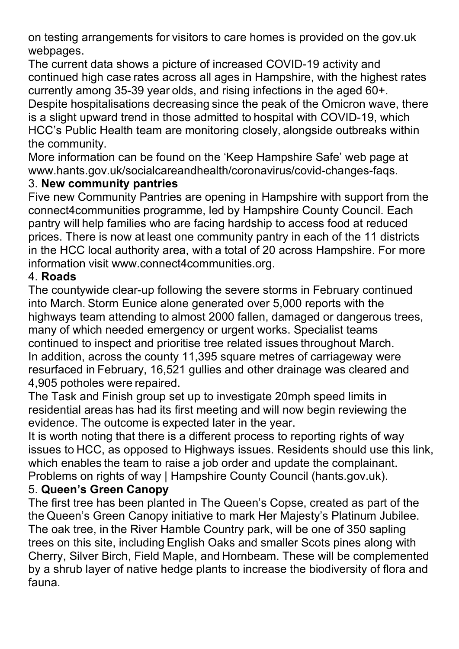webpages.

on testing arrangements for visitors to care homes is provided on the gov.uk<br>webpages.<br>The current data shows a picture of increased COVID-19 activity and<br>continued high case rates across all ages in Hampshire, with the hi on testing arrangements for visitors to care homes is provided on the gov.uk<br>webpages.<br>The current data shows a picture of increased COVID-19 activity and<br>continued high case rates across all ages in Hampshire, with the hi on testing arrangements for visitors to care homes is provided on the gov.uk<br>webpages.<br>The current data shows a picture of increased COVID-19 activity and<br>continued high case rates across all ages in Hampshire, with the hi on testing arrangements for visitors to care homes is provided on the gov.uk<br>webpages.<br>The current data shows a picture of increased COVID-19 activity and<br>continued high case rates across all ages in Hampshire, with the hi on testing arrangements for visitors to care homes is provided on the gov.uk<br>webpages.<br>The current data shows a picture of increased COVID-19 activity and<br>continued high case rates across all ages in Hampshire, with the hi on testing arrangements for visitors to care homes is provided on the gov.uk<br>webpages.<br>The current data shows a picture of increased COVID-19 activity and<br>continued high case rates across all ages in Hampshire, with the hi on testing arrangements for visitors to care homes is provided on the gov.uk<br>webpages.<br>The current data shows a picture of increased COVID-19 activity and<br>continued high case rates across all ages in Hampshire, with the hi on testing arrangements for visitors to care homes is<br>webpages.<br>The current data shows a picture of increased COVIE<br>continued high case rates across all ages in Hampshi<br>currently among 35-39 year olds, and rising infection on testing arrangements for visitors to care homes is provided on the gov.uk<br>Webpages.<br>The current data shows a picture of increased COVID-19 activity and<br>continued high case rates across all ages in Hampshire, with the hi on testing arrangements for visitors to care homes is provided on the g<br>webpages.<br>The current data shows a picture of increased COVID-19 activity and<br>continued high case rates across all ages in Hampshire, with the highe<br>c on testing arrangements for visitors to care homes is provided on the gov.uk<br>webpages.<br>The current data shows a picture of increased COVID-19 activity and<br>continued high case rates across all ages in Hampshire, with the hi on testing arrangements for visitors to care homes is provided on the gov.uk<br>webpages.<br>The current data shows a picture of increased COVID-19 activity and<br>continued high case rates across all ages in Hampshire, with the hi on testing arrangements for visitors to care homes is provided on the gov.uk<br>webpages.<br>The current data shows a picture of increased COVID-19 activity and<br>continued high case rates across all ages in Hampshire, with the hi on testing arrangements for visitors to care nomes is provided on the gov.uk<br>webpages.<br>The current data shows a picture of increased COVID-19 activity and<br>continued high case rates across all ages in Hampshire, with the hi weeppages.<br>The current data shows a picture of increased COVID-19 activity and<br>continued high case rates across all ages in Hampshire, with the highest rates<br>currently among 35-39 year olds, and rising infections in the ag The current data shows a picture of increased COVID-19 activity a<br>continued high case rates across all ages in Hampshire, with the he<br>currently among 35-39 year olds, and rising infections in the aged<br>Despite hospitalisati

www.hants.gov.uk/socialcareandhealth/coronavirus/covid-changes-faqs.

currently among 35-39 year ollas, an rangi ninections in the age out-<br>Despite hospitalisations decreasing since the peak of the Omicron wave, there<br>is a slight upward trend in those admitted to hospital with COVID-19, whic Despite nospitals<br>along the propies and the peak of the peak of the COVID-19, which<br>HCC's Public Health team are monitoring closely, alongside outbreaks within<br>the community.<br>More information can be found on the 'Keep Hamp

### 4. Roads

is a signt upward trend in those admitted to hospital with COVID-19, which<br>HCC's Public Health team are monitoring closely, alongside outbreaks within<br>the community.<br>More information can be found on the 'Keep Hampshire Saf HOC is Public Health team are monitoring closely, alongside outinears within<br>the community.<br>More information can be found on the 'Keep Hampshire Safe' web page at<br>www.hants.gov.uk/socialcareandhealth/coronavirus/covid-chan the community.<br>
More information can be found on the 'Keep Hampshire Safe' web page at<br>
www.hants.gov.uk/socialcareandhealth/coronavirus/covid-changes-faqs.<br>
3. **New community pantries**<br>
Five new Community Pantries<br>
commun Wore information can be folund on the Reep Hampshire sale web page at<br>www.hants.gov.uk/socialcareandhealth/coronavirus/covid-changes-faqs.<br>3. New community pantries<br>Five new Community Pantries are opening in Hampshire with ww.nants.gov.ux/socolacereanchealth/coronavirus/covid-changes-laqs.<br>The new Community pantries are opening in Hampshire with support from the<br>connect dcommunities programme, led by Hampshire County Council. Each<br>prices. Th 3. New community pantries<br>
Five new Community Pantries are opening in Hampshire with support<br>
Five new Community Pantries are opening in Hampshire County Council.<br>
pantry will help families who are facing hardship to acces Five new Communities are opening in Hampshire with support from the<br>connect4communities programme, led by Hampshire County Council. Each<br>pantry will help families who are facing hardship to access food at reduced<br>prices. T connect econnumulus programme, lea by Hampshire County Council. Each<br>pantry will help families who are facing hardship to access food at reduced<br>prices. There is now at least one community pantry in each of the 11 district pantry will neip ramilies who are racing narosing to access food at reaucea<br>prices. There is now at least one community pantry in each of the 11 districts<br>in the HCC local authority area, with a total of 20 across Hampshir prices. There is now areast one community parity in each of the TT distincts<br>in the HCC local authority area, with a total of 20 across Hampshire. For more<br>information visit www.connect4communities.org.<br>4. **Roads**<br>The coun In the HCC local authority area, with a total of 20 across Hampshire. For more information visit www.connect4communities.org.<br>The countywide clear-up following the severe storms in February continued<br>4. **Roads**<br>The countyw mormanton visit www.connect4communiues.org.<br>The countywide clear-up following the severe storms in February continued<br>into March. Storm Eunice alone generated over 5,000 reports with the<br>highways team attending to almost 2 4. **Roads**<br>The countywide clear-up following the severe storms in February continued<br>into March. Storm Eunice alone generated over 5,000 reports with the<br>highways team attending to almost 2000 fallen, damaged or dangerous The countywide clear-up following the severe storms in February cordition<br>Into March. Storm Eunice alone generated over 5,000 reports with thich<br>many of which needed emergency or urgent works. Specialist teams<br>continued to Into warch. Somm Eurure alone generated over 5,000 reports win the<br>Inighways team attending to almost 2000 fallen, damaged or dangerous trees,<br>many of which needed emergency or urgent works. Specialist teams<br>continued to i mgmways team attenuating to almost 2000 tallen, danageo or dangerous meas,<br>many of which needed emergency or urgent works. Specialist teams<br>continued to inspect and prioritise tree related issues throughout March.<br>In addit

many or wnich needed emergency or urgent works. Specialist teams<br>
continued to inspect and prioritise tree related issues throughout March.<br>
In addition, across the county 11,395 square metres of carriageway were<br>
resurfac continue to inspect and priorities tree related issues infording tout witch.<br>In addition, across the county 11,395 square metres of carriageway were<br>resurfaced in February, 16,521 guilles and other drainage was cleared and m adoution, acrorss the county T1,395 square metres of carriageway were<br>mesurfaced in February, 16,521 gullies and other drainage was cleared and<br>4,905 potholes were repaired.<br>The Task and Finish group set up to investigat resunated in reportury, 1, b,21 guilles and other drainage was cleared and 4,905 potholes were repaired.<br>The Task and Finish group set up to investigate 20mph speed limits in residential areas has had its first meeting and fauna.